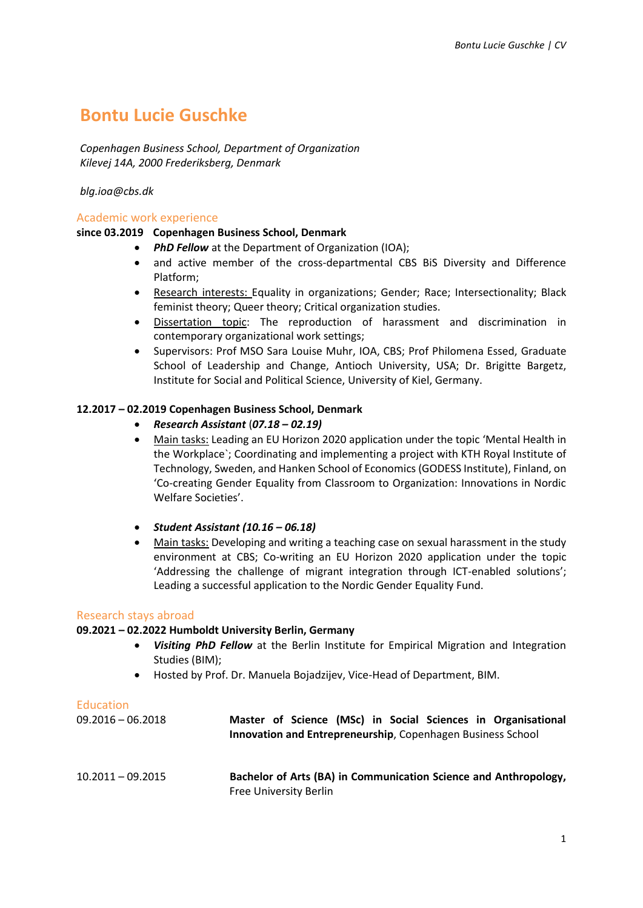# **Bontu Lucie Guschke**

*Copenhagen Business School, Department of Organization Kilevej 14A, 2000 Frederiksberg, Denmark*

*[blg.ioa@cbs.dk](mailto:blg.ioa@cbs.dk)*

## Academic work experience

## **since 03.2019 Copenhagen Business School, Denmark**

- **PhD Fellow** at the Department of Organization (IOA);
- and active member of the cross-departmental CBS BiS Diversity and Difference Platform;
- Research interests: Equality in organizations; Gender; Race; Intersectionality; Black feminist theory; Queer theory; Critical organization studies.
- Dissertation topic: The reproduction of harassment and discrimination in contemporary organizational work settings;
- Supervisors: Prof MSO Sara Louise Muhr, IOA, CBS; Prof Philomena Essed, Graduate School of Leadership and Change, Antioch University, USA; Dr. Brigitte Bargetz, Institute for Social and Political Science, University of Kiel, Germany.

## **12.2017 – 02.2019 Copenhagen Business School, Denmark**

- *Research Assistant* (*07.18 – 02.19)*
- Main tasks: Leading an EU Horizon 2020 application under the topic 'Mental Health in the Workplace`; Coordinating and implementing a project with KTH Royal Institute of Technology, Sweden, and Hanken School of Economics (GODESS Institute), Finland, on 'Co-creating Gender Equality from Classroom to Organization: Innovations in Nordic Welfare Societies'.
- *Student Assistant (10.16 – 06.18)*
- Main tasks: Developing and writing a teaching case on sexual harassment in the study environment at CBS; Co-writing an EU Horizon 2020 application under the topic 'Addressing the challenge of migrant integration through ICT-enabled solutions'; Leading a successful application to the Nordic Gender Equality Fund.

### Research stays abroad

### **09.2021 – 02.2022 Humboldt University Berlin, Germany**

- *Visiting PhD Fellow* at the Berlin Institute for Empirical Migration and Integration Studies (BIM);
- Hosted by Prof. Dr. Manuela Bojadzijev, Vice-Head of Department, BIM.

#### Education

| $09.2016 - 06.2018$ | Master of Science (MSc) in Social Sciences in Organisational<br>Innovation and Entrepreneurship, Copenhagen Business School |
|---------------------|-----------------------------------------------------------------------------------------------------------------------------|
| $10.2011 - 09.2015$ | Bachelor of Arts (BA) in Communication Science and Anthropology,<br><b>Free University Berlin</b>                           |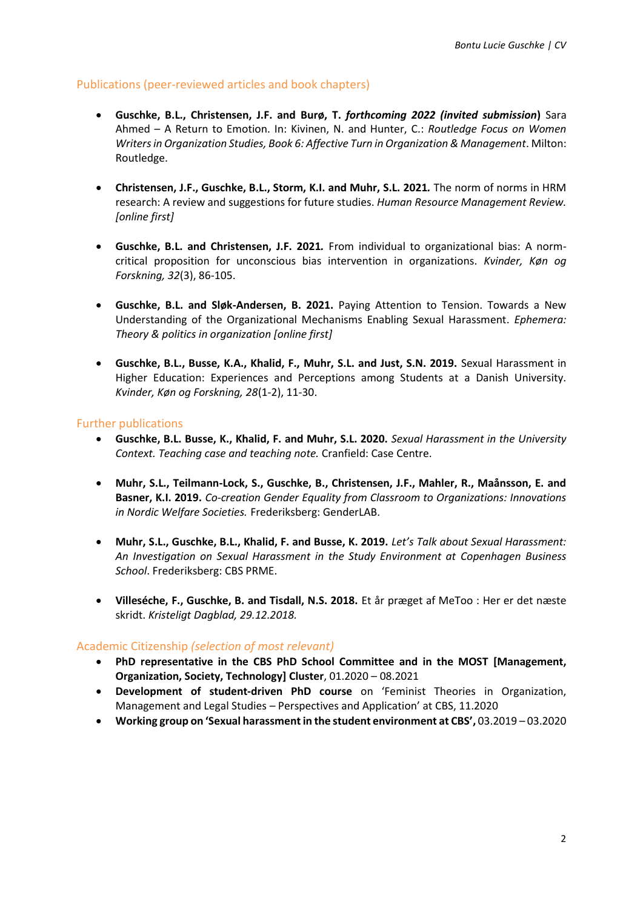## Publications (peer-reviewed articles and book chapters)

- **Guschke, B.L., Christensen, J.F. and Burø, T.** *forthcoming 2022 (invited submission***)** Sara Ahmed – A Return to Emotion. In: Kivinen, N. and Hunter, C.: *Routledge Focus on Women Writers in Organization Studies, Book 6: Affective Turn in Organization & Management*. Milton: Routledge.
- **Christensen, J.F., Guschke, B.L., Storm, K.I. and Muhr, S.L. 2021***.* The norm of norms in HRM research: A review and suggestions for future studies. *Human Resource Management Review. [online first]*
- **Guschke, B.L. and Christensen, J.F. 2021***.* From individual to organizational bias: A normcritical proposition for unconscious bias intervention in organizations. *Kvinder, Køn og Forskning, 32*(3), 86-105.
- **Guschke, B.L. and Sløk-Andersen, B. 2021.** Paying Attention to Tension. Towards a New Understanding of the Organizational Mechanisms Enabling Sexual Harassment. *Ephemera: Theory & politics in organization [online first]*
- **Guschke, B.L., Busse, K.A., Khalid, F., Muhr, S.L. and Just, S.N. 2019.** Sexual Harassment in Higher Education: Experiences and Perceptions among Students at a Danish University. *Kvinder, Køn og Forskning, 28*(1-2), 11-30.

## Further publications

- **Guschke, B.L. Busse, K., Khalid, F. and Muhr, S.L. 2020.** *Sexual Harassment in the University Context. Teaching case and teaching note.* Cranfield: Case Centre.
- **Muhr, S.L., Teilmann-Lock, S., Guschke, B., Christensen, J.F., Mahler, R., Maånsson, E. and Basner, K.I. 2019.** *Co-creation Gender Equality from Classroom to Organizations: Innovations in Nordic Welfare Societies.* Frederiksberg: GenderLAB.
- **Muhr, S.L., Guschke, B.L., Khalid, F. and Busse, K. 2019.** *Let's Talk about Sexual Harassment: An Investigation on Sexual Harassment in the Study Environment at Copenhagen Business School*. Frederiksberg: CBS PRME.
- **Villeséche, F., Guschke, B. and Tisdall, N.S. 2018.** Et år præget af MeToo : Her er det næste skridt. *Kristeligt Dagblad, 29.12.2018.*

# Academic Citizenship *(selection of most relevant)*

- **PhD representative in the CBS PhD School Committee and in the MOST [Management, Organization, Society, Technology] Cluster**, 01.2020 – 08.2021
- **Development of student-driven PhD course** on 'Feminist Theories in Organization, Management and Legal Studies – Perspectives and Application' at CBS, 11.2020
- **Working group on 'Sexual harassment in the student environment at CBS',** 03.2019 03.2020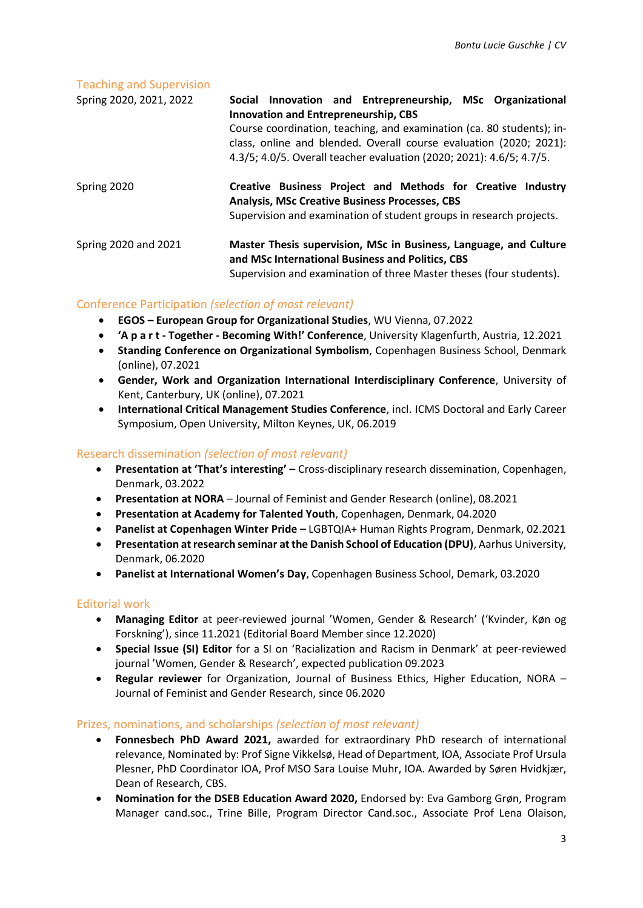### Teaching and Supervision

| Spring 2020, 2021, 2022 | Social Innovation and Entrepreneurship, MSc Organizational<br><b>Innovation and Entrepreneurship, CBS</b>                                                                                                           |
|-------------------------|---------------------------------------------------------------------------------------------------------------------------------------------------------------------------------------------------------------------|
|                         | Course coordination, teaching, and examination (ca. 80 students); in-<br>class, online and blended. Overall course evaluation (2020; 2021):<br>4.3/5; 4.0/5. Overall teacher evaluation (2020; 2021): 4.6/5; 4.7/5. |
| Spring 2020             | Creative Business Project and Methods for Creative Industry<br><b>Analysis, MSc Creative Business Processes, CBS</b><br>Supervision and examination of student groups in research projects.                         |
| Spring 2020 and 2021    | Master Thesis supervision, MSc in Business, Language, and Culture<br>and MSc International Business and Politics, CBS<br>Supervision and examination of three Master theses (four students).                        |

# Conference Participation *(selection of most relevant)*

- **EGOS – European Group for Organizational Studies**, WU Vienna, 07.2022
- **'A p a r t - Together - Becoming With!' Conference**, University Klagenfurth, Austria, 12.2021
- **Standing Conference on Organizational Symbolism**, Copenhagen Business School, Denmark (online), 07.2021
- **Gender, Work and Organization International Interdisciplinary Conference**, University of Kent, Canterbury, UK (online), 07.2021
- **International Critical Management Studies Conference**, incl. ICMS Doctoral and Early Career Symposium, Open University, Milton Keynes, UK, 06.2019

## Research dissemination *(selection of most relevant)*

- **Presentation at 'That's interesting' –** Cross-disciplinary research dissemination, Copenhagen, Denmark, 03.2022
- **Presentation at NORA** Journal of Feminist and Gender Research (online), 08.2021
- **Presentation at Academy for Talented Youth**, Copenhagen, Denmark, 04.2020
- **Panelist at Copenhagen Winter Pride –** LGBTQIA+ Human Rights Program, Denmark, 02.2021
- **Presentation at research seminar at the Danish School of Education (DPU)**, Aarhus University, Denmark, 06.2020
- **Panelist at International Women's Day**, Copenhagen Business School, Demark, 03.2020

### Editorial work

- **Managing Editor** at peer-reviewed journal 'Women, Gender & Research' ('Kvinder, Køn og Forskning'), since 11.2021 (Editorial Board Member since 12.2020)
- **Special Issue (SI) Editor** for a SI on 'Racialization and Racism in Denmark' at peer-reviewed journal 'Women, Gender & Research', expected publication 09.2023
- **Regular reviewer** for Organization, Journal of Business Ethics, Higher Education, NORA Journal of Feminist and Gender Research, since 06.2020

### Prizes, nominations, and scholarships *(selection of most relevant)*

- **Fonnesbech PhD Award 2021,** awarded for extraordinary PhD research of international relevance, Nominated by: Prof Signe Vikkelsø, Head of Department, IOA, Associate Prof Ursula Plesner, PhD Coordinator IOA, Prof MSO Sara Louise Muhr, IOA. Awarded by Søren Hvidkjær, Dean of Research, CBS.
- **Nomination for the DSEB Education Award 2020,** Endorsed by: Eva Gamborg Grøn, Program Manager cand.soc., Trine Bille, Program Director Cand.soc., Associate Prof Lena Olaison,